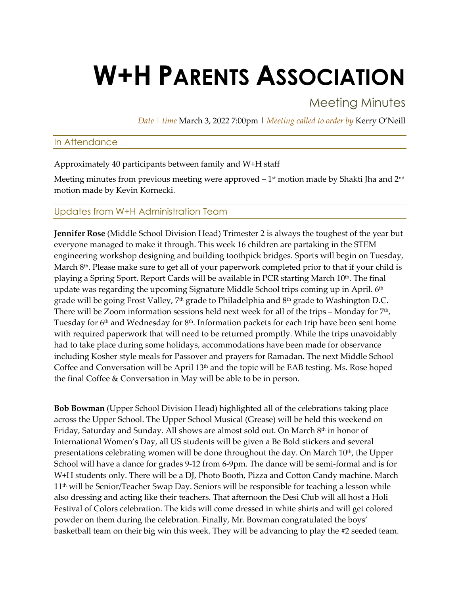# **W+H PARENTS ASSOCIATION**

Meeting Minutes

*Date | time* March 3, 2022 7:00pm | *Meeting called to order by* Kerry O'Neill

## In Attendance

Approximately 40 participants between family and W+H staff

Meeting minutes from previous meeting were approved  $-1<sup>st</sup>$  motion made by Shakti Jha and  $2<sup>nd</sup>$ motion made by Kevin Kornecki.

## Updates from W+H Administration Team

**Jennifer Rose** (Middle School Division Head) Trimester 2 is always the toughest of the year but everyone managed to make it through. This week 16 children are partaking in the STEM engineering workshop designing and building toothpick bridges. Sports will begin on Tuesday, March 8<sup>th</sup>. Please make sure to get all of your paperwork completed prior to that if your child is playing a Spring Sport. Report Cards will be available in PCR starting March  $10<sup>th</sup>$ . The final update was regarding the upcoming Signature Middle School trips coming up in April.  $6<sup>th</sup>$ grade will be going Frost Valley, 7<sup>th</sup> grade to Philadelphia and 8<sup>th</sup> grade to Washington D.C. There will be Zoom information sessions held next week for all of the trips – Monday for  $7<sup>th</sup>$ , Tuesday for 6<sup>th</sup> and Wednesday for 8<sup>th</sup>. Information packets for each trip have been sent home with required paperwork that will need to be returned promptly. While the trips unavoidably had to take place during some holidays, accommodations have been made for observance including Kosher style meals for Passover and prayers for Ramadan. The next Middle School Coffee and Conversation will be April 13th and the topic will be EAB testing. Ms. Rose hoped the final Coffee & Conversation in May will be able to be in person.

**Bob Bowman** (Upper School Division Head) highlighted all of the celebrations taking place across the Upper School. The Upper School Musical (Grease) will be held this weekend on Friday, Saturday and Sunday. All shows are almost sold out. On March  $8<sup>th</sup>$  in honor of International Women's Day, all US students will be given a Be Bold stickers and several presentations celebrating women will be done throughout the day. On March 10<sup>th</sup>, the Upper School will have a dance for grades 9-12 from 6-9pm. The dance will be semi-formal and is for W+H students only. There will be a DJ, Photo Booth, Pizza and Cotton Candy machine. March 11<sup>th</sup> will be Senior/Teacher Swap Day. Seniors will be responsible for teaching a lesson while also dressing and acting like their teachers. That afternoon the Desi Club will all host a Holi Festival of Colors celebration. The kids will come dressed in white shirts and will get colored powder on them during the celebration. Finally, Mr. Bowman congratulated the boys' basketball team on their big win this week. They will be advancing to play the #2 seeded team.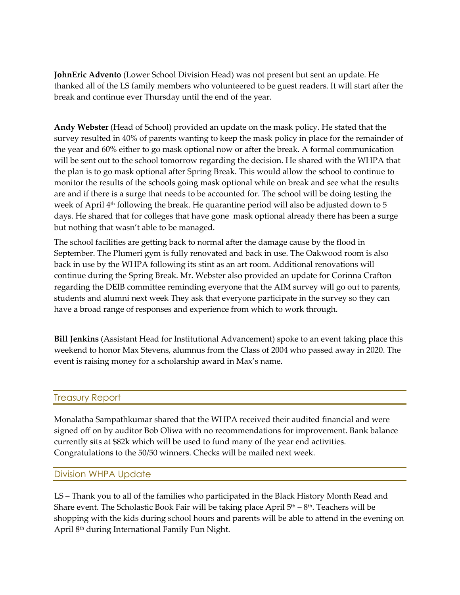**JohnEric Advento** (Lower School Division Head) was not present but sent an update. He thanked all of the LS family members who volunteered to be guest readers. It will start after the break and continue ever Thursday until the end of the year.

**Andy Webster** (Head of School) provided an update on the mask policy. He stated that the survey resulted in 40% of parents wanting to keep the mask policy in place for the remainder of the year and 60% either to go mask optional now or after the break. A formal communication will be sent out to the school tomorrow regarding the decision. He shared with the WHPA that the plan is to go mask optional after Spring Break. This would allow the school to continue to monitor the results of the schools going mask optional while on break and see what the results are and if there is a surge that needs to be accounted for. The school will be doing testing the week of April  $4<sup>th</sup>$  following the break. He quarantine period will also be adjusted down to 5 days. He shared that for colleges that have gone mask optional already there has been a surge but nothing that wasn't able to be managed.

The school facilities are getting back to normal after the damage cause by the flood in September. The Plumeri gym is fully renovated and back in use. The Oakwood room is also back in use by the WHPA following its stint as an art room. Additional renovations will continue during the Spring Break. Mr. Webster also provided an update for Corinna Crafton regarding the DEIB committee reminding everyone that the AIM survey will go out to parents, students and alumni next week They ask that everyone participate in the survey so they can have a broad range of responses and experience from which to work through.

**Bill Jenkins** (Assistant Head for Institutional Advancement) spoke to an event taking place this weekend to honor Max Stevens, alumnus from the Class of 2004 who passed away in 2020. The event is raising money for a scholarship award in Max's name.

#### Treasury Report

Monalatha Sampathkumar shared that the WHPA received their audited financial and were signed off on by auditor Bob Oliwa with no recommendations for improvement. Bank balance currently sits at \$82k which will be used to fund many of the year end activities. Congratulations to the 50/50 winners. Checks will be mailed next week.

#### Division WHPA Update

LS – Thank you to all of the families who participated in the Black History Month Read and Share event. The Scholastic Book Fair will be taking place April  $5<sup>th</sup> - 8<sup>th</sup>$ . Teachers will be shopping with the kids during school hours and parents will be able to attend in the evening on April 8th during International Family Fun Night.